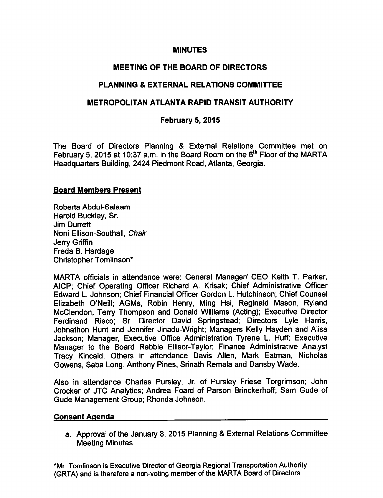#### **MINUTES**

# MEETING OF THE BOARD OF DIRECTORS

## PLANNING & EXTERNAL RELATIONS COMMITTEE

# METROPOLITAN ATLANTA RAPID TRANSIT AUTHORITY

#### February 5, 2015

The Board of Directors Planning & External Relations Committee met on February 5, 2015 at 10:37 a.m. in the Board Room on the 6<sup>th</sup> Floor of the MARTA Headquarters Building, 2424 Piedmont Road, Atlanta, Georgia.

#### Board Members Present

Roberta Abdul-Salaam Harold Buckley, Sr. Jim Durrett Noni Ellison-Southall, Chair Jerry Griffin Freda B. Hardage Christopher Tomlinson\*

MARTA officials in attendance were: General Manager/ CEO Keith T. Parker, AICP; Chief Operating Officer Richard A. Krisak; Chief Administrative Officer Edward L. Johnson; Chief Financial Officer Gordon L. Hutchinson; Chief Counsel Elizabeth O'Neill; AGMs, Robin Henry, Ming Hsi, Reginald Mason, Ryland McClendon, Terry Thompson and Donald Williams (Acting); Executive Director Ferdinand Risco; Sr. Director David Springstead; Directors Lyle Harris, Johnathon Hunt and Jennifer Jinadu-Wright; Managers Kelly Hayden and Alisa Jackson; Manager, Executive Office Administration Tyrene L. Huff; Executive Manager to the Board Rebbie Ellisor-Taylor; Finance Administrative Analyst Tracy Kincaid. Others in attendance Davis Allen, Mark Eatman, Nicholas Gowens, Saba Long, Anthony Pines, Srinath Remala and Dansby Wade.

Also in attendance Charles Pursley, Jr. of Pursley Friese Torgrimson; John Crocker of JTC Analytics; Andrea Foard of Parson Brinckerhoff; Sam Gude of Gude Management Group; Rhonda Johnson.

#### Consent Agenda

a. Approval of the January 8, 2015 Planning & External Relations Committee Meeting Minutes

\*Mr. Tomlinson is Executive Director of Georgia Regional Transportation Authority (GRTA) and is therefore a non-voting member of the MARTA Board of Directors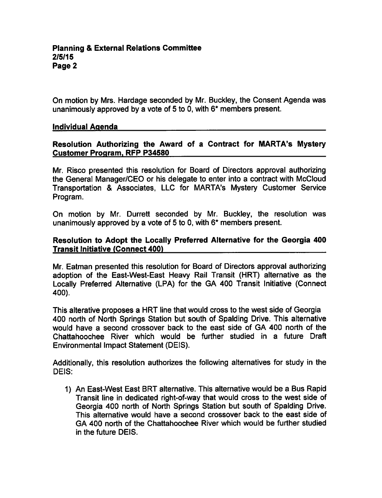On motion by Mrs. Hardage seconded by Mr. Buckley, the Consent Agenda was unanimously approved by a vote of 5 to 0, with  $6*$  members present.

#### Individual Agenda

## Resolution Authorizing the Award of a Contract for MARTA's Mystery Customer Program. RFP P34580

Mr. Risco presented this resolution for Board of Directors approval authorizing the General Manager/CEO or his delegate to enter into a contract with McCloud Transportation & Associates, LLC for MARTA's Mystery Customer Service Program.

On motion by Mr. Durrett seconded by Mr. Buckley, the resolution was unanimously approved by a vote of 5 to 0, with  $6*$  members present.

## Resolution to Adopt the Locally Preferred Alternative for the Georgia 400 Transit Initiative (Connect 400)

Mr. Eatman presented this resolution for Board of Directors approval authorizing adoption of the East-West-East Heavy Rail Transit (HRT) alternative as the Locally Preferred Alternative (LPA) for the GA 400 Transit Initiative (Connect 400).

This alterative proposes a HRT line that would cross to the west side of Georgia 400 north of North Springs Station but south of Spalding Drive. This alternative would have a second crossover back to the east side of GA 400 north of the Chattahoochee River which would be further studied in a future Draft Environmental Impact Statement (DEIS).

Additionally, this resolution authorizes the following alternatives for study in the DEIS:

1) An East-West East BRT alternative. This alternative would be a Bus Rapid Transit line in dedicated right-of-way that would cross to the west side of Georgia 400 north of North Springs Station but south of Spalding Drive. This alternative would have a second crossover back to the east side of GA 400 north of the Chattahoochee River which would be further studied in the future DEIS.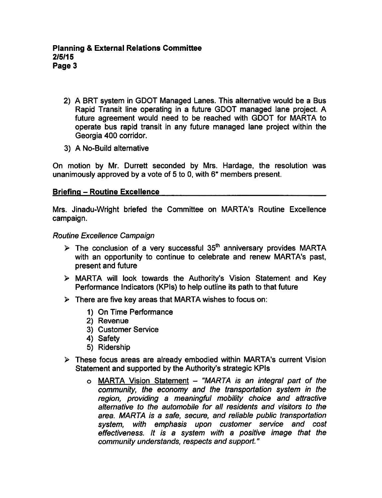- 2) A BRT system in GDOT Managed Lanes. This alternative would be a Bus Rapid Transit line operating in a future GDOT managed lane project. A future agreement would need to be reached with GDOT for MARTA to operate bus rapid transit in any future managed lane project within the Georgia 400 corridor.
- 3) A No-Build alternative

On motion by Mr. Durrett seconded by Mrs. Hardage, the resolution was unanimously approved by a vote of 5 to 0, with  $6*$  members present.

## Briefing - Routine Excellence

Mrs. Jinadu-Wright briefed the Committee on MARTA's Routine Excellence campaign.

Routine Excellence Campaign

- $\triangleright$  The conclusion of a very successful 35<sup>th</sup> anniversary provides MARTA with an opportunity to continue to celebrate and renew MARTA's past, present and future
- MARTA will look towards the Authority's Vision Statement and Key Performance Indicators (KPIs) to help outline its path to that future
- $\triangleright$  There are five key areas that MARTA wishes to focus on:
	- 1) On Time Performance
	- 2) Revenue
	- 3) Customer Service
	- 4) Safety
	- 5) Ridership
- $\triangleright$  These focus areas are already embodied within MARTA's current Vision Statement and supported by the Authority's strategic KPIs
	- o MARTA Vision Statement "MARTA is an integral part of the community, the economy and the transportation system in the region, providing a meaningful mobility choice and attractive alternative to the automobile for all residents and visitors to the area. MARTA is a safe, secure, and reliable public transportation system, with emphasis upon customer service and cost effectiveness. It is a system with a positive image that the community understands, respects and support."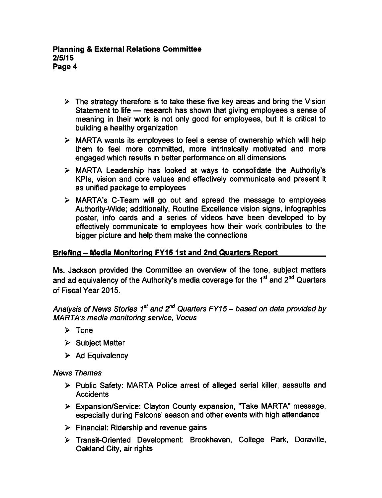- $\triangleright$  The strategy therefore is to take these five key areas and bring the Vision Statement to life — research has shown that giving employees a sense of meaning in their work is not only good for employees, but it is critical to building a healthy organization
- $\triangleright$  MARTA wants its employees to feel a sense of ownership which will help them to feel more committed, more intrinsically motivated and more engaged which results in better performance on all dimensions
- MARTA Leadership has looked at ways to consolidate the Authority's KPIs, vision and core values and effectively communicate and present it as unified package to employees
- MARTA's C-Team will go out and spread the message to employees Authority-Wide; additionally, Routine Excellence vision signs, infographics poster, info cards and a series of videos have been developed to by effectively communicate to employees how their work contributes to the bigger picture and help them make the connections

# Briefing - Media Monitoring FY15 1st and 2nd Quarters Report

Ms. Jackson provided the Committee an overview of the tone, subject matters and ad equivalency of the Authority's media coverage for the 1<sup>st</sup> and 2<sup>nd</sup> Quarters of Fiscal Year 2015.

Analysis of News Stories 1<sup>st</sup> and 2<sup>nd</sup> Quarters FY15 – based on data provided by MARTA's media monitoring service, Vocus

- $\triangleright$  Tone
- $\triangleright$  Subject Matter
- $\triangleright$  Ad Equivalency

News Themes

- $\triangleright$  Public Safety: MARTA Police arrest of alleged serial killer, assaults and **Accidents**
- Expansion/Service: Clayton County expansion, "Take MARTA" message, especially during Falcons' season and other events with high attendance
- $\triangleright$  Financial: Ridership and revenue gains
- Transit-Oriented Development: Brookhaven, College Park, Doraville, Oakland City, air rights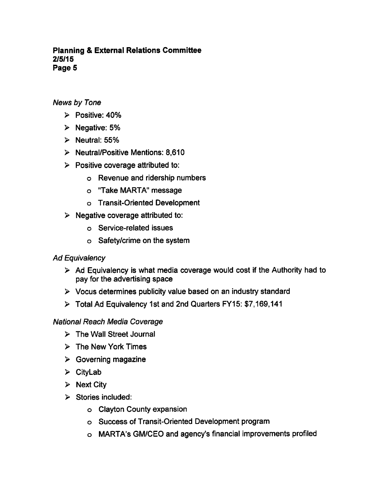## Planning External Relations Committee 2/5/15 Page 5

# News by Tone

- $\triangleright$  Positive: 40%
- $\triangleright$  Negative: 5%
- $\triangleright$  Neutral: 55%
- $\triangleright$  Neutral/Positive Mentions: 8,610
- $\triangleright$  Positive coverage attributed to:
	- Revenue and ridership numbers
	- "Take MARTA" message
	- Transit-Oriented Development
- $\triangleright$  Negative coverage attributed to:
	- Service-related issues
	- Safety/crime on the system

## Ad Equivalency

- $\triangleright$  Ad Equivalency is what media coverage would cost if the Authority had to pay for the advertising space
- $\triangleright$  Vocus determines publicity value based on an industry standard
- Total Ad Equivalency 1st and 2nd Quarters FY15: \$7,169,141

## National Reach Media Coverage

- $\triangleright$  The Wall Street Journal
- $\triangleright$  The New York Times
- $\triangleright$  Governing magazine
- $\triangleright$  CityLab
- $\triangleright$  Next City
- $\triangleright$  Stories included:
	- Clayton County expansion
	- Success of Transit-Oriented Development program
	- MARTA's GM/CEO and agency's financial improvements profiled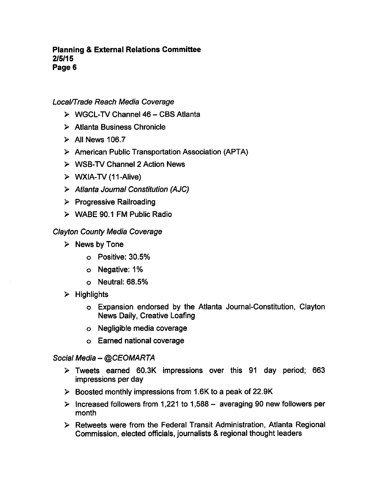## **Planning & External Relations Committee** 2/5/15 Page 6

# Local/Trade Reach Media Coverage

- $\triangleright$  WGCL-TV Channel 46 CBS Atlanta
- Atlanta Business Chronicle
- $\triangleright$  All News 106.7
- American Public Transportation Association (APTA)
- $\triangleright$  WSB-TV Channel 2 Action News
- $\triangleright$  WXIA-TV (11-Alive)
- Atlanta Journal Constitution (AJC)
- $\triangleright$  Progressive Railroading
- WABE 90.1 FM Public Radio

## Clayton County Media Coverage

- $\triangleright$  News by Tone
	- Positive: 30.5%
	- Negative: 1%
	- Neutral: 68.5%
- $\triangleright$  Highlights
	- Expansion endorsed by the Atlanta Journal-Constitution, Clayton News Daily, Creative Loafing
	- Negligible media coverage
	- Earned national coverage

## Social Media - @CEOMARTA

- Tweets earned 60.3K impressions over this 91 day period; 663 impressions per day
- $\triangleright$  Boosted monthly impressions from 1.6K to a peak of 22.9K
- $\triangleright$  Increased followers from 1,221 to 1,588 averaging 90 new followers per month
- $\triangleright$  Retweets were from the Federal Transit Administration, Atlanta Regional Commission, elected officials, journalists & regional thought leaders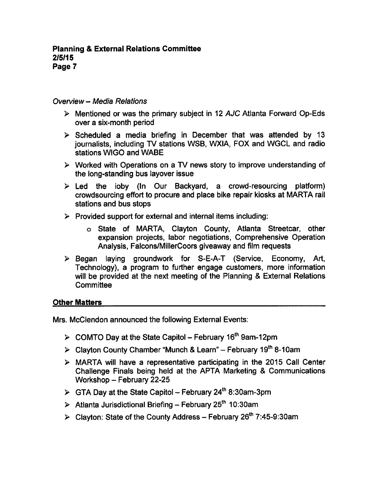#### Overview - Media Relations

- $\triangleright$  Mentioned or was the primary subject in 12 AJC Atlanta Forward Op-Eds over a six-month period
- $\triangleright$  Scheduled a media briefing in December that was attended by 13 journalists, including TV stations WSB, WXIA, FOX and WGCL and radio stations WIGO and WABE
- $\triangleright$  Worked with Operations on a TV news story to improve understanding of the long-standing bus layover issue
- $\triangleright$  Led the ioby (In Our Backyard, a crowd-resourcing platform) crowdsourcing effort to procure and place bike repair kiosks at MARTA rail stations and bus stops
- $\triangleright$  Provided support for external and internal items including:
	- o State of MARTA, Clayton County, Atlanta Streetcar, other expansion projects, labor negotiations, Comprehensive Operation Analysis, Falcons/MillerCoors giveaway and film requests
- Began laying groundwork for S-E-A-T (Service, Economy, Art, Technology), a program to further engage customers, more information will be provided at the next meeting of the Planning & External Relations **Committee**

#### Other Matters

Mrs. McClendon announced the following External Events:

- $\triangleright$  COMTO Day at the State Capitol February 16<sup>th</sup> 9am-12pm
- $\geq$  Clayton County Chamber "Munch & Learn" February 19<sup>th</sup> 8-10am
- $\triangleright$  MARTA will have a representative participating in the 2015 Call Center Challenge Finals being held at the APTA Marketing & Communications Workshop  $-$  February 22-25
- $\triangleright$  GTA Day at the State Capitol February 24<sup>th</sup> 8:30am-3pm
- $\triangleright$  Atlanta Jurisdictional Briefing February 25<sup>th</sup> 10:30am
- $\triangleright$  Clayton: State of the County Address February 26<sup>th</sup> 7:45-9:30am